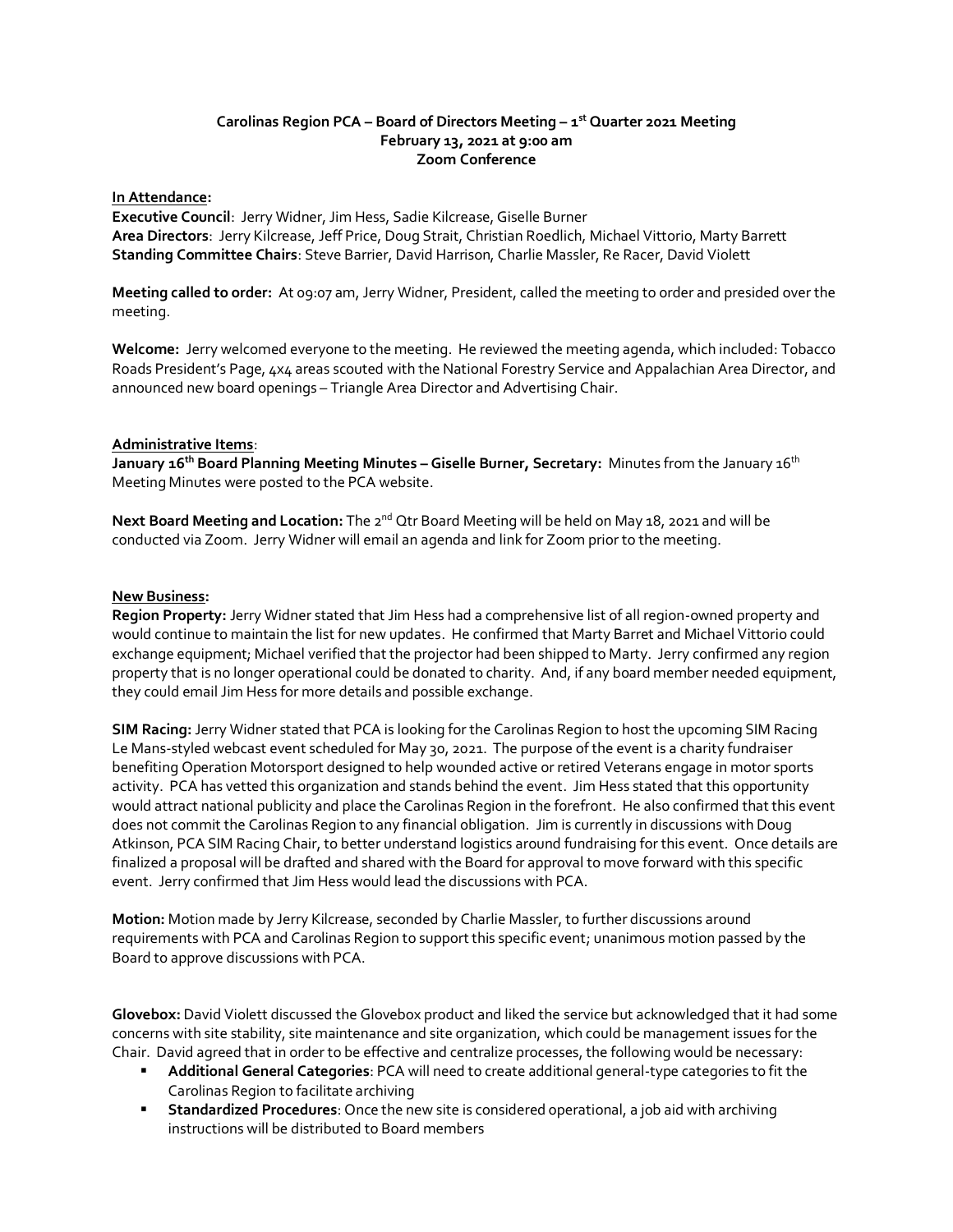### **Carolinas Region PCA – Board of Directors Meeting – 1 st Quarter 2021 Meeting February 13, 2021 at 9:00 am Zoom Conference**

### **In Attendance:**

**Executive Council**: Jerry Widner, Jim Hess, Sadie Kilcrease, Giselle Burner **Area Directors**: Jerry Kilcrease, Jeff Price, Doug Strait, Christian Roedlich, Michael Vittorio, Marty Barrett **Standing Committee Chairs**: Steve Barrier, David Harrison, Charlie Massler, Re Racer, David Violett

**Meeting called to order:** At 09:07 am, Jerry Widner, President, called the meeting to order and presided over the meeting.

**Welcome:** Jerry welcomed everyone to the meeting. He reviewed the meeting agenda, which included: Tobacco Roads President's Page, 4x4 areas scouted with the National Forestry Service and Appalachian Area Director, and announced new board openings – Triangle Area Director and Advertising Chair.

## **Administrative Items**:

**January 16th Board Planning Meeting Minutes – Giselle Burner, Secretary:** Minutes from the January 16th Meeting Minutes were posted to the PCA website.

Next Board Meeting and Location: The 2<sup>nd</sup> Qtr Board Meeting will be held on May 18, 2021 and will be conducted via Zoom. Jerry Widner will email an agenda and link for Zoom prior to the meeting.

### **New Business:**

**Region Property:** Jerry Widner stated that Jim Hess had a comprehensive list of all region-owned property and would continue to maintain the list for new updates. He confirmed that Marty Barret and Michael Vittorio could exchange equipment; Michael verified that the projector had been shipped to Marty. Jerry confirmed any region property that is no longer operational could be donated to charity. And, if any board member needed equipment, they could email Jim Hess for more details and possible exchange.

**SIM Racing:** Jerry Widner stated that PCA is looking for the Carolinas Region to host the upcoming SIM Racing Le Mans-styled webcast event scheduled for May 30, 2021. The purpose of the event is a charity fundraiser benefiting Operation Motorsport designed to help wounded active or retired Veterans engage in motor sports activity. PCA has vetted this organization and stands behind the event. Jim Hess stated that this opportunity would attract national publicity and place the Carolinas Region in the forefront. He also confirmed that this event does not commit the Carolinas Region to any financial obligation. Jim is currently in discussions with Doug Atkinson, PCA SIM Racing Chair, to better understand logistics around fundraising for this event. Once details are finalized a proposal will be drafted and shared with the Board for approval to move forward with this specific event. Jerry confirmed that Jim Hess would lead the discussions with PCA.

**Motion:** Motion made by Jerry Kilcrease, seconded by Charlie Massler, to further discussions around requirements with PCA and Carolinas Region to support this specific event; unanimous motion passed by the Board to approve discussions with PCA.

**Glovebox:** David Violett discussed the Glovebox product and liked the service but acknowledged that it had some concerns with site stability, site maintenance and site organization, which could be management issues for the Chair. David agreed that in order to be effective and centralize processes, the following would be necessary:

- **Additional General Categories**: PCA will need to create additional general-type categories to fit the Carolinas Region to facilitate archiving
- **EXECT Standardized Procedures**: Once the new site is considered operational, a job aid with archiving instructions will be distributed to Board members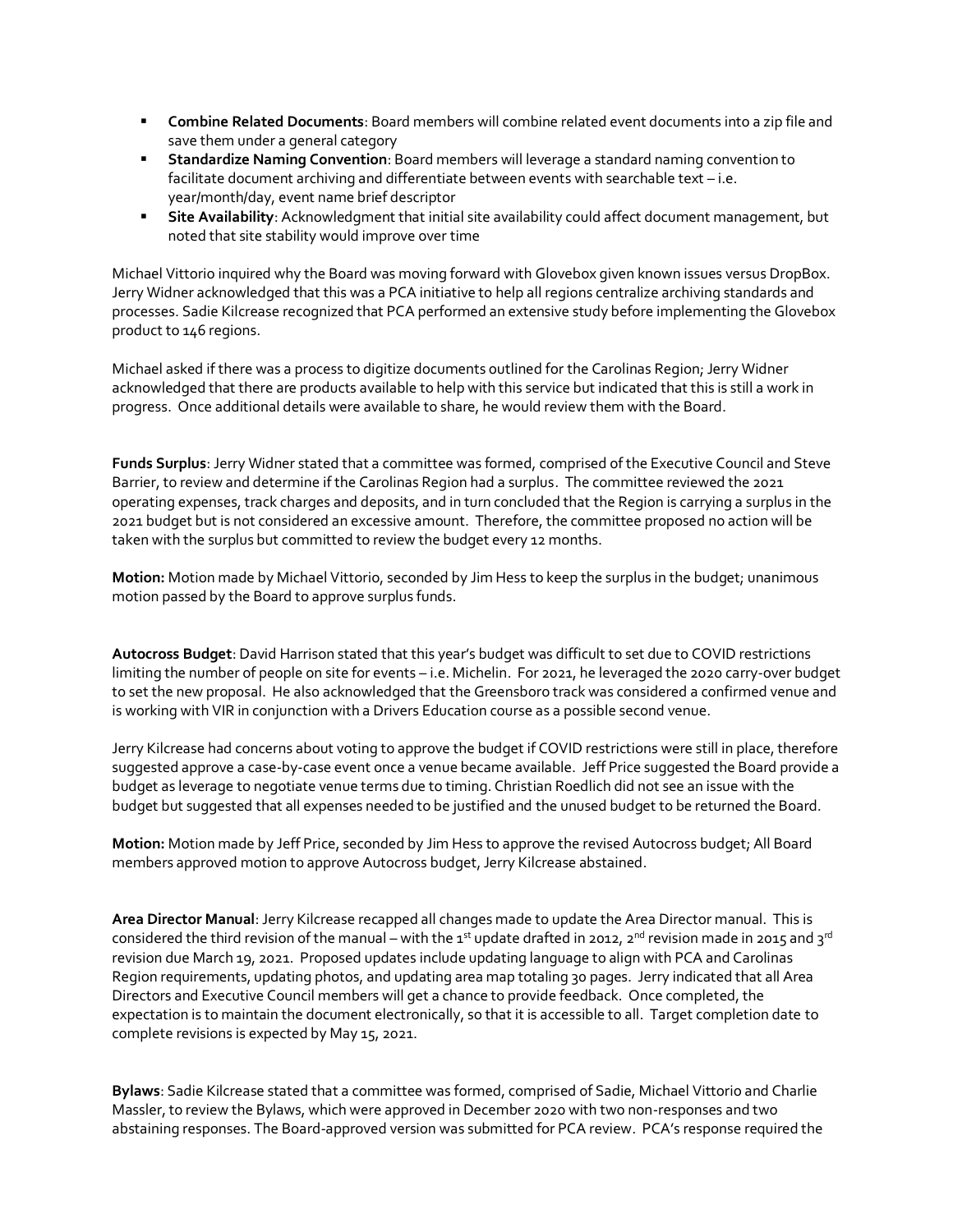- **EXECOMBINE Related Documents: Board members will combine related event documents into a zip file and** save them under a general category
- **EXECT ADDET Standardize Naming Convention**: Board members will leverage a standard naming convention to facilitate document archiving and differentiate between events with searchable text – i.e. year/month/day, event name brief descriptor
- **Site Availability**: Acknowledgment that initial site availability could affect document management, but noted that site stability would improve over time

Michael Vittorio inquired why the Board was moving forward with Glovebox given known issues versus DropBox. Jerry Widner acknowledged that this was a PCA initiative to help all regions centralize archiving standards and processes. Sadie Kilcrease recognized that PCA performed an extensive study before implementing the Glovebox product to 146 regions.

Michael asked if there was a process to digitize documents outlined for the Carolinas Region; Jerry Widner acknowledged that there are products available to help with this service but indicated that this is still a work in progress. Once additional details were available to share, he would review them with the Board.

**Funds Surplus**: Jerry Widner stated that a committee was formed, comprised of the Executive Council and Steve Barrier, to review and determine if the Carolinas Region had a surplus. The committee reviewed the 2021 operating expenses, track charges and deposits, and in turn concluded that the Region is carrying a surplus in the 2021 budget but is not considered an excessive amount. Therefore, the committee proposed no action will be taken with the surplus but committed to review the budget every 12 months.

**Motion:** Motion made by Michael Vittorio, seconded by Jim Hess to keep the surplus in the budget; unanimous motion passed by the Board to approve surplus funds.

**Autocross Budget**: David Harrison stated that this year's budget was difficult to set due to COVID restrictions limiting the number of people on site for events – i.e. Michelin. For 2021, he leveraged the 2020 carry-over budget to set the new proposal. He also acknowledged that the Greensboro track was considered a confirmed venue and is working with VIR in conjunction with a Drivers Education course as a possible second venue.

Jerry Kilcrease had concerns about voting to approve the budget if COVID restrictions were still in place, therefore suggested approve a case-by-case event once a venue became available. Jeff Price suggested the Board provide a budget as leverage to negotiate venue terms due to timing. Christian Roedlich did not see an issue with the budget but suggested that all expenses needed to be justified and the unused budget to be returned the Board.

**Motion:** Motion made by Jeff Price, seconded by Jim Hess to approve the revised Autocross budget; All Board members approved motion to approve Autocross budget, Jerry Kilcrease abstained.

**Area Director Manual**: Jerry Kilcrease recapped all changes made to update the Area Director manual. This is considered the third revision of the manual – with the  $1^{st}$  update drafted in 2012,  $2^{nd}$  revision made in 2015 and  $3^{rd}$ revision due March 19, 2021. Proposed updates include updating language to align with PCA and Carolinas Region requirements, updating photos, and updating area map totaling 30 pages. Jerry indicated that all Area Directors and Executive Council members will get a chance to provide feedback. Once completed, the expectation is to maintain the document electronically, so that it is accessible to all. Target completion date to complete revisions is expected by May 15, 2021.

**Bylaws**: Sadie Kilcrease stated that a committee was formed, comprised of Sadie, Michael Vittorio and Charlie Massler, to review the Bylaws, which were approved in December 2020 with two non-responses and two abstaining responses. The Board-approved version was submitted for PCA review. PCA's response required the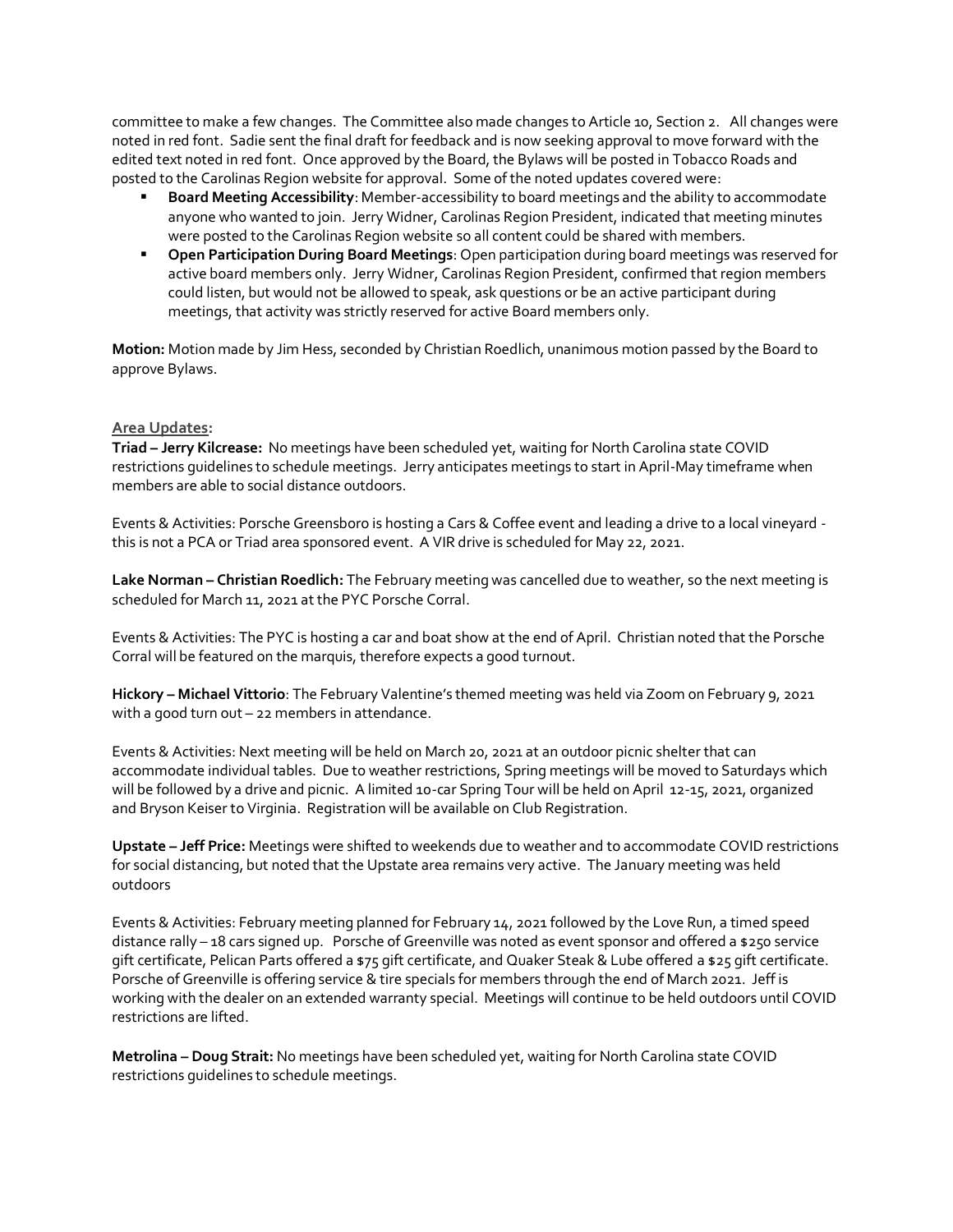committee to make a few changes. The Committee also made changes to Article 10, Section 2. All changes were noted in red font. Sadie sent the final draft for feedback and is now seeking approval to move forward with the edited text noted in red font. Once approved by the Board, the Bylaws will be posted in Tobacco Roads and posted to the Carolinas Region website for approval. Some of the noted updates covered were:

- **Board Meeting Accessibility**: Member-accessibility to board meetings and the ability to accommodate anyone who wanted to join. Jerry Widner, Carolinas Region President, indicated that meeting minutes were posted to the Carolinas Region website so all content could be shared with members.
- **Open Participation During Board Meetings**: Open participation during board meetings was reserved for active board members only. Jerry Widner, Carolinas Region President, confirmed that region members could listen, but would not be allowed to speak, ask questions or be an active participant during meetings, that activity was strictly reserved for active Board members only.

**Motion:** Motion made by Jim Hess, seconded by Christian Roedlich, unanimous motion passed by the Board to approve Bylaws.

## **Area Updates:**

**Triad – Jerry Kilcrease:** No meetings have been scheduled yet, waiting for North Carolina state COVID restrictions guidelines to schedule meetings. Jerry anticipates meetings to start in April-May timeframe when members are able to social distance outdoors.

Events & Activities: Porsche Greensboro is hosting a Cars & Coffee event and leading a drive to a local vineyard this is not a PCA or Triad area sponsored event. A VIR drive is scheduled for May 22, 2021.

**Lake Norman – Christian Roedlich:** The February meeting was cancelled due to weather, so the next meeting is scheduled for March 11, 2021 at the PYC Porsche Corral.

Events & Activities: The PYC is hosting a car and boat show at the end of April. Christian noted that the Porsche Corral will be featured on the marquis, therefore expects a good turnout.

**Hickory – Michael Vittorio**: The February Valentine's themed meeting was held via Zoom on February 9, 2021 with a good turn out – 22 members in attendance.

Events & Activities: Next meeting will be held on March 20, 2021 at an outdoor picnic shelter that can accommodate individual tables. Due to weather restrictions, Spring meetings will be moved to Saturdays which will be followed by a drive and picnic. A limited 10-car Spring Tour will be held on April 12-15, 2021, organized and Bryson Keiser to Virginia. Registration will be available on Club Registration.

**Upstate – Jeff Price:** Meetings were shifted to weekends due to weather and to accommodate COVID restrictions for social distancing, but noted that the Upstate area remains very active. The January meeting was held outdoors

Events & Activities: February meeting planned for February 14, 2021 followed by the Love Run, a timed speed distance rally – 18 cars signed up. Porsche of Greenville was noted as event sponsor and offered a \$250 service gift certificate, Pelican Parts offered a \$75 gift certificate, and Quaker Steak & Lube offered a \$25 gift certificate. Porsche of Greenville is offering service & tire specials for members through the end of March 2021. Jeff is working with the dealer on an extended warranty special. Meetings will continue to be held outdoors until COVID restrictions are lifted.

**Metrolina – Doug Strait:** No meetings have been scheduled yet, waiting for North Carolina state COVID restrictions guidelines to schedule meetings.